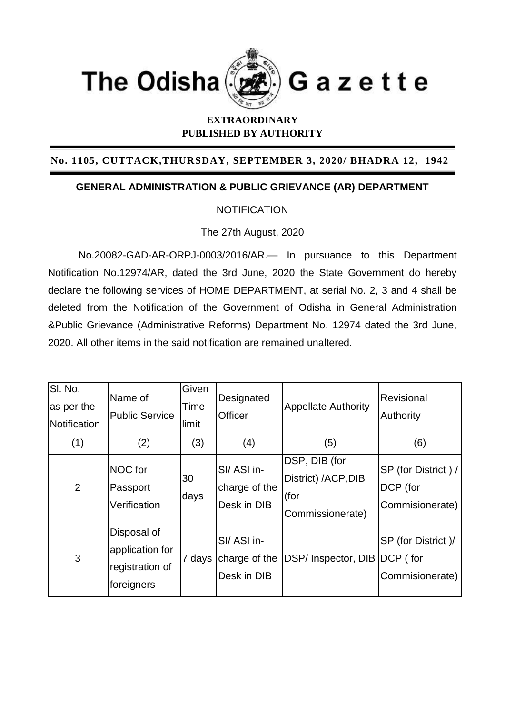

## **EXTRAORDINARY PUBLISHED BY AUTHORITY**

## **No. 1105, CUTTACK,THURSDAY, SEPTEMBER 3, 2020/ BHADRA 12, 1942**

## **GENERAL ADMINISTRATION & PUBLIC GRIEVANCE (AR) DEPARTMENT**

## **NOTIFICATION**

The 27th August, 2020

No.20082-GAD-AR-ORPJ-0003/2016/AR.— In pursuance to this Department Notification No.12974/AR, dated the 3rd June, 2020 the State Government do hereby declare the following services of HOME DEPARTMENT, at serial No. 2, 3 and 4 shall be deleted from the Notification of the Government of Odisha in General Administration &Public Grievance (Administrative Reforms) Department No. 12974 dated the 3rd June, 2020. All other items in the said notification are remained unaltered.

| SI. No.<br>as per the<br>Notification | Name of<br><b>Public Service</b>                                | Given<br>Time<br>limit | Designated<br>Officer                      | <b>Appellate Authority</b>                                       | Revisional<br>Authority                            |
|---------------------------------------|-----------------------------------------------------------------|------------------------|--------------------------------------------|------------------------------------------------------------------|----------------------------------------------------|
| (1)                                   | (2)                                                             | (3)                    | (4)                                        | (5)                                                              | (6)                                                |
| 2                                     | NOC for<br>Passport<br>Verification                             | 30<br>days             | SI/ASI in-<br>charge of the<br>Desk in DIB | DSP, DIB (for<br>District) /ACP, DIB<br>(for<br>Commissionerate) | SP (for District) /<br>DCP (for<br>Commisionerate) |
| 3                                     | Disposal of<br>application for<br>registration of<br>foreigners | 7 days                 | SI/ASI in-<br>charge of the<br>Desk in DIB | <b>DSP/Inspector, DIB</b>                                        | SP (for District)/<br>DCP (for<br>Commisionerate)  |